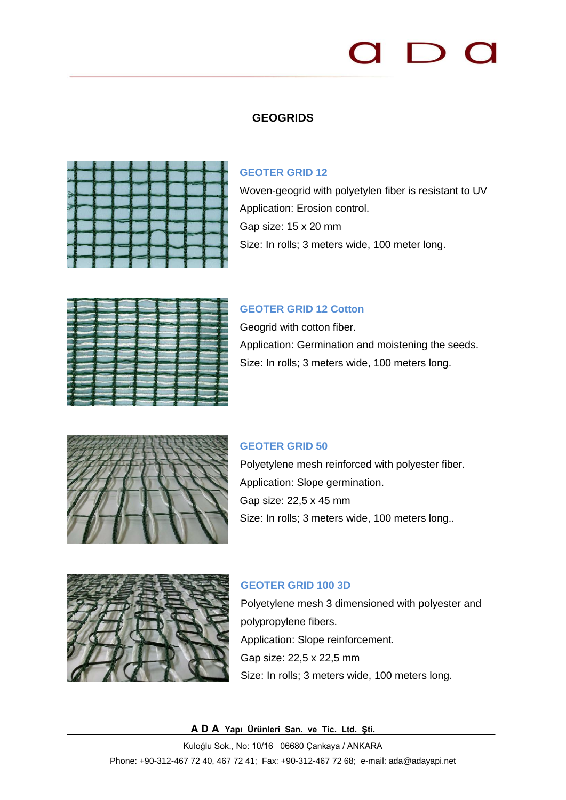# **GEOGRIDS**



## **GEOTER GRID 12**

Woven-geogrid with polyetylen fiber is resistant to UV Application: Erosion control. Gap size: 15 x 20 mm Size: In rolls; 3 meters wide, 100 meter long.

## **GEOTER GRID 12 Cotton**

Geogrid with cotton fiber. Application: Germination and moistening the seeds. Size: In rolls; 3 meters wide, 100 meters long.



### **GEOTER GRID 50**

Polyetylene mesh reinforced with polyester fiber. Application: Slope germination. Gap size: 22,5 x 45 mm Size: In rolls; 3 meters wide, 100 meters long..



### **GEOTER GRID 100 3D**

Polyetylene mesh 3 dimensioned with polyester and polypropylene fibers. Application: Slope reinforcement. Gap size: 22,5 x 22,5 mm Size: In rolls; 3 meters wide, 100 meters long.

**A D A Yapı Ürünleri San. ve Tic. Ltd. Şti.** Kuloğlu Sok., No: 10/16 06680 Çankaya / ANKARA Phone: +90-312-467 72 40, 467 72 41; Fax: +90-312-467 72 68; e-mail: ada@adayapi.net